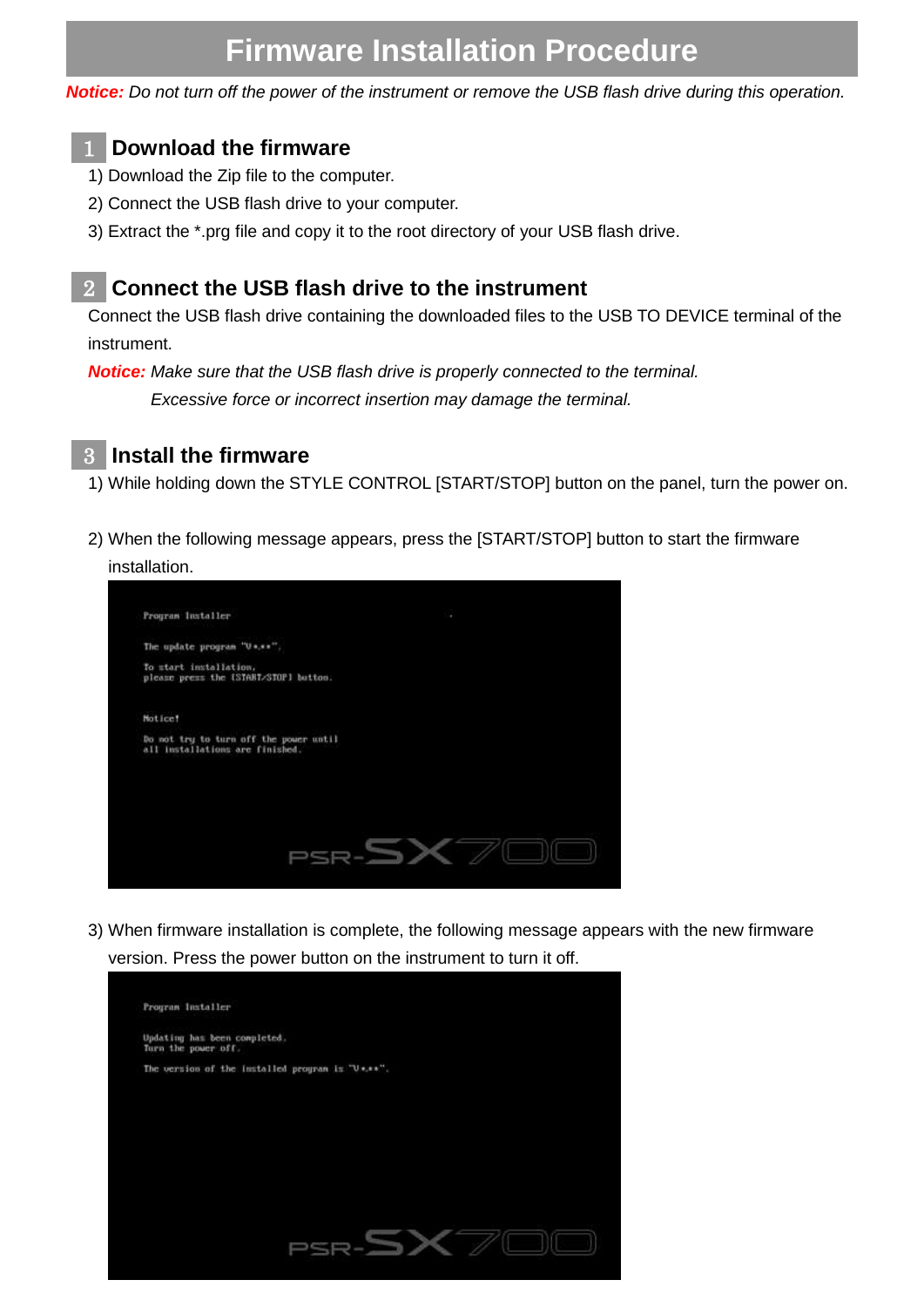# **Firmware Installation Procedure**

*Notice: Do not turn off the power of the instrument or remove the USB flash drive during this operation.*

#### **Download the firmware** 1

- 1) Download the Zip file to the computer.
- 2) Connect the USB flash drive to your computer.
- 3) Extract the \*.prg file and copy it to the root directory of your USB flash drive.

#### **Connect the USB flash drive to the instrument** 2

Connect the USB flash drive containing the downloaded files to the USB TO DEVICE terminal of the instrument.

*Notice: Make sure that the USB flash drive is properly connected to the terminal. Excessive force or incorrect insertion may damage the terminal.*



### **Install the firmware** 3

1) While holding down the STYLE CONTROL [START/STOP] button on the panel, turn the power on.

2) When the following message appears, press the [START/STOP] button to start the firmware installation.



3) When firmware installation is complete, the following message appears with the new firmware version. Press the power button on the instrument to turn it off.